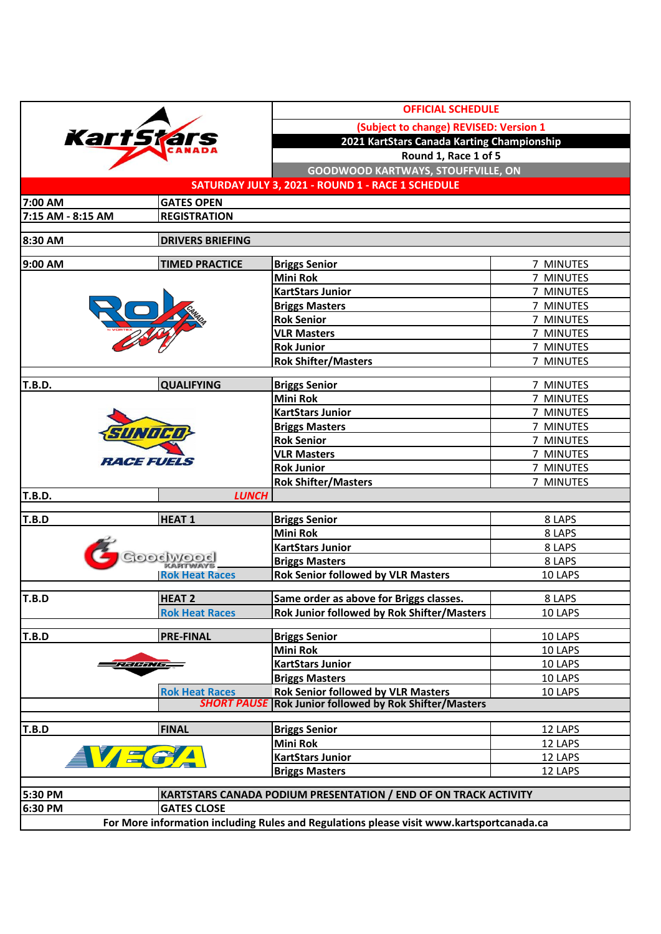| (Subject to change) REVISED: Version 1<br><b>Kart'Stars</b><br>2021 KartStars Canada Karting Championship<br>Round 1, Race 1 of 5<br><b>GOODWOOD KARTWAYS, STOUFFVILLE, ON</b><br>SATURDAY JULY 3, 2021 - ROUND 1 - RACE 1 SCHEDULE<br><b>GATES OPEN</b><br>7:00 AM<br>7:15 AM - 8:15 AM<br><b>REGISTRATION</b><br><b>DRIVERS BRIEFING</b><br><b>TIMED PRACTICE</b><br>9:00 AM<br><b>Briggs Senior</b><br>7 MINUTES<br><b>Mini Rok</b><br>7 MINUTES<br><b>KartStars Junior</b><br>7 MINUTES<br>7 MINUTES<br><b>Briggs Masters</b><br><b>Rok Senior</b><br>7 MINUTES<br><b>VLR Masters</b><br>7 MINUTES<br><b>Rok Junior</b><br>7 MINUTES<br><b>Rok Shifter/Masters</b><br>7 MINUTES<br><b>T.B.D.</b><br><b>QUALIFYING</b><br><b>Briggs Senior</b><br>7 MINUTES<br><b>Mini Rok</b><br>7 MINUTES<br><b>KartStars Junior</b><br>7 MINUTES<br><b>Briggs Masters</b><br>7 MINUTES<br>SUNOCO<br><b>Rok Senior</b><br>7 MINUTES<br><b>VLR Masters</b><br>7 MINUTES<br><i>REGEEVEE</i> S<br><b>Rok Junior</b><br>7 MINUTES<br><b>Rok Shifter/Masters</b><br>7 MINUTES<br><b>T.B.D.</b><br><b>LUNCH</b><br>T.B.D<br><b>HEAT1</b><br><b>Briggs Senior</b><br>8 LAPS<br><b>Mini Rok</b><br>8 LAPS<br>8 LAPS<br><b>KartStars Junior</b><br>$OC$ $W$ $O$<br>8 LAPS<br><b>Briggs Masters</b><br><b>Rok Senior followed by VLR Masters</b><br>10 LAPS<br><b>Rok Heat Races</b><br><b>HEAT 2</b><br>Same order as above for Briggs classes.<br>8 LAPS<br>T.B.D<br>Rok Junior followed by Rok Shifter/Masters<br><b>Rok Heat Races</b><br>10 LAPS<br>T.B.D<br><b>PRE-FINAL</b><br><b>Briggs Senior</b><br>10 LAPS<br><b>Mini Rok</b><br>10 LAPS<br><b>KartStars Junior</b><br>10 LAPS<br>ノこノラノノラスノシー<br><b>Briggs Masters</b><br>10 LAPS<br><b>Rok Senior followed by VLR Masters</b><br><b>Rok Heat Races</b><br>10 LAPS<br><b>SHORT PAUSE</b><br><b>Rok Junior followed by Rok Shifter/Masters</b><br>T.B.D<br><b>FINAL</b><br><b>Briggs Senior</b><br>12 LAPS<br><b>Mini Rok</b><br>12 LAPS<br><b>KartStars Junior</b><br>12 LAPS<br><b>Briggs Masters</b><br>12 LAPS<br>KARTSTARS CANADA PODIUM PRESENTATION / END OF ON TRACK ACTIVITY<br>6:30 PM<br><b>GATES CLOSE</b><br>For More information including Rules and Regulations please visit www.kartsportcanada.ca |         |  | <b>OFFICIAL SCHEDULE</b> |  |  |  |
|---------------------------------------------------------------------------------------------------------------------------------------------------------------------------------------------------------------------------------------------------------------------------------------------------------------------------------------------------------------------------------------------------------------------------------------------------------------------------------------------------------------------------------------------------------------------------------------------------------------------------------------------------------------------------------------------------------------------------------------------------------------------------------------------------------------------------------------------------------------------------------------------------------------------------------------------------------------------------------------------------------------------------------------------------------------------------------------------------------------------------------------------------------------------------------------------------------------------------------------------------------------------------------------------------------------------------------------------------------------------------------------------------------------------------------------------------------------------------------------------------------------------------------------------------------------------------------------------------------------------------------------------------------------------------------------------------------------------------------------------------------------------------------------------------------------------------------------------------------------------------------------------------------------------------------------------------------------------------------------------------------------------------------------------------------------------------------------------------------------------------------------------------------------------------------------------------------------------------------------------------------|---------|--|--------------------------|--|--|--|
|                                                                                                                                                                                                                                                                                                                                                                                                                                                                                                                                                                                                                                                                                                                                                                                                                                                                                                                                                                                                                                                                                                                                                                                                                                                                                                                                                                                                                                                                                                                                                                                                                                                                                                                                                                                                                                                                                                                                                                                                                                                                                                                                                                                                                                                         |         |  |                          |  |  |  |
|                                                                                                                                                                                                                                                                                                                                                                                                                                                                                                                                                                                                                                                                                                                                                                                                                                                                                                                                                                                                                                                                                                                                                                                                                                                                                                                                                                                                                                                                                                                                                                                                                                                                                                                                                                                                                                                                                                                                                                                                                                                                                                                                                                                                                                                         |         |  |                          |  |  |  |
|                                                                                                                                                                                                                                                                                                                                                                                                                                                                                                                                                                                                                                                                                                                                                                                                                                                                                                                                                                                                                                                                                                                                                                                                                                                                                                                                                                                                                                                                                                                                                                                                                                                                                                                                                                                                                                                                                                                                                                                                                                                                                                                                                                                                                                                         |         |  |                          |  |  |  |
|                                                                                                                                                                                                                                                                                                                                                                                                                                                                                                                                                                                                                                                                                                                                                                                                                                                                                                                                                                                                                                                                                                                                                                                                                                                                                                                                                                                                                                                                                                                                                                                                                                                                                                                                                                                                                                                                                                                                                                                                                                                                                                                                                                                                                                                         |         |  |                          |  |  |  |
|                                                                                                                                                                                                                                                                                                                                                                                                                                                                                                                                                                                                                                                                                                                                                                                                                                                                                                                                                                                                                                                                                                                                                                                                                                                                                                                                                                                                                                                                                                                                                                                                                                                                                                                                                                                                                                                                                                                                                                                                                                                                                                                                                                                                                                                         |         |  |                          |  |  |  |
|                                                                                                                                                                                                                                                                                                                                                                                                                                                                                                                                                                                                                                                                                                                                                                                                                                                                                                                                                                                                                                                                                                                                                                                                                                                                                                                                                                                                                                                                                                                                                                                                                                                                                                                                                                                                                                                                                                                                                                                                                                                                                                                                                                                                                                                         |         |  |                          |  |  |  |
|                                                                                                                                                                                                                                                                                                                                                                                                                                                                                                                                                                                                                                                                                                                                                                                                                                                                                                                                                                                                                                                                                                                                                                                                                                                                                                                                                                                                                                                                                                                                                                                                                                                                                                                                                                                                                                                                                                                                                                                                                                                                                                                                                                                                                                                         |         |  |                          |  |  |  |
|                                                                                                                                                                                                                                                                                                                                                                                                                                                                                                                                                                                                                                                                                                                                                                                                                                                                                                                                                                                                                                                                                                                                                                                                                                                                                                                                                                                                                                                                                                                                                                                                                                                                                                                                                                                                                                                                                                                                                                                                                                                                                                                                                                                                                                                         |         |  |                          |  |  |  |
|                                                                                                                                                                                                                                                                                                                                                                                                                                                                                                                                                                                                                                                                                                                                                                                                                                                                                                                                                                                                                                                                                                                                                                                                                                                                                                                                                                                                                                                                                                                                                                                                                                                                                                                                                                                                                                                                                                                                                                                                                                                                                                                                                                                                                                                         | 8:30 AM |  |                          |  |  |  |
|                                                                                                                                                                                                                                                                                                                                                                                                                                                                                                                                                                                                                                                                                                                                                                                                                                                                                                                                                                                                                                                                                                                                                                                                                                                                                                                                                                                                                                                                                                                                                                                                                                                                                                                                                                                                                                                                                                                                                                                                                                                                                                                                                                                                                                                         |         |  |                          |  |  |  |
|                                                                                                                                                                                                                                                                                                                                                                                                                                                                                                                                                                                                                                                                                                                                                                                                                                                                                                                                                                                                                                                                                                                                                                                                                                                                                                                                                                                                                                                                                                                                                                                                                                                                                                                                                                                                                                                                                                                                                                                                                                                                                                                                                                                                                                                         |         |  |                          |  |  |  |
|                                                                                                                                                                                                                                                                                                                                                                                                                                                                                                                                                                                                                                                                                                                                                                                                                                                                                                                                                                                                                                                                                                                                                                                                                                                                                                                                                                                                                                                                                                                                                                                                                                                                                                                                                                                                                                                                                                                                                                                                                                                                                                                                                                                                                                                         |         |  |                          |  |  |  |
|                                                                                                                                                                                                                                                                                                                                                                                                                                                                                                                                                                                                                                                                                                                                                                                                                                                                                                                                                                                                                                                                                                                                                                                                                                                                                                                                                                                                                                                                                                                                                                                                                                                                                                                                                                                                                                                                                                                                                                                                                                                                                                                                                                                                                                                         |         |  |                          |  |  |  |
|                                                                                                                                                                                                                                                                                                                                                                                                                                                                                                                                                                                                                                                                                                                                                                                                                                                                                                                                                                                                                                                                                                                                                                                                                                                                                                                                                                                                                                                                                                                                                                                                                                                                                                                                                                                                                                                                                                                                                                                                                                                                                                                                                                                                                                                         |         |  |                          |  |  |  |
|                                                                                                                                                                                                                                                                                                                                                                                                                                                                                                                                                                                                                                                                                                                                                                                                                                                                                                                                                                                                                                                                                                                                                                                                                                                                                                                                                                                                                                                                                                                                                                                                                                                                                                                                                                                                                                                                                                                                                                                                                                                                                                                                                                                                                                                         |         |  |                          |  |  |  |
|                                                                                                                                                                                                                                                                                                                                                                                                                                                                                                                                                                                                                                                                                                                                                                                                                                                                                                                                                                                                                                                                                                                                                                                                                                                                                                                                                                                                                                                                                                                                                                                                                                                                                                                                                                                                                                                                                                                                                                                                                                                                                                                                                                                                                                                         |         |  |                          |  |  |  |
|                                                                                                                                                                                                                                                                                                                                                                                                                                                                                                                                                                                                                                                                                                                                                                                                                                                                                                                                                                                                                                                                                                                                                                                                                                                                                                                                                                                                                                                                                                                                                                                                                                                                                                                                                                                                                                                                                                                                                                                                                                                                                                                                                                                                                                                         |         |  |                          |  |  |  |
|                                                                                                                                                                                                                                                                                                                                                                                                                                                                                                                                                                                                                                                                                                                                                                                                                                                                                                                                                                                                                                                                                                                                                                                                                                                                                                                                                                                                                                                                                                                                                                                                                                                                                                                                                                                                                                                                                                                                                                                                                                                                                                                                                                                                                                                         |         |  |                          |  |  |  |
|                                                                                                                                                                                                                                                                                                                                                                                                                                                                                                                                                                                                                                                                                                                                                                                                                                                                                                                                                                                                                                                                                                                                                                                                                                                                                                                                                                                                                                                                                                                                                                                                                                                                                                                                                                                                                                                                                                                                                                                                                                                                                                                                                                                                                                                         |         |  |                          |  |  |  |
|                                                                                                                                                                                                                                                                                                                                                                                                                                                                                                                                                                                                                                                                                                                                                                                                                                                                                                                                                                                                                                                                                                                                                                                                                                                                                                                                                                                                                                                                                                                                                                                                                                                                                                                                                                                                                                                                                                                                                                                                                                                                                                                                                                                                                                                         |         |  |                          |  |  |  |
|                                                                                                                                                                                                                                                                                                                                                                                                                                                                                                                                                                                                                                                                                                                                                                                                                                                                                                                                                                                                                                                                                                                                                                                                                                                                                                                                                                                                                                                                                                                                                                                                                                                                                                                                                                                                                                                                                                                                                                                                                                                                                                                                                                                                                                                         |         |  |                          |  |  |  |
|                                                                                                                                                                                                                                                                                                                                                                                                                                                                                                                                                                                                                                                                                                                                                                                                                                                                                                                                                                                                                                                                                                                                                                                                                                                                                                                                                                                                                                                                                                                                                                                                                                                                                                                                                                                                                                                                                                                                                                                                                                                                                                                                                                                                                                                         |         |  |                          |  |  |  |
|                                                                                                                                                                                                                                                                                                                                                                                                                                                                                                                                                                                                                                                                                                                                                                                                                                                                                                                                                                                                                                                                                                                                                                                                                                                                                                                                                                                                                                                                                                                                                                                                                                                                                                                                                                                                                                                                                                                                                                                                                                                                                                                                                                                                                                                         |         |  |                          |  |  |  |
|                                                                                                                                                                                                                                                                                                                                                                                                                                                                                                                                                                                                                                                                                                                                                                                                                                                                                                                                                                                                                                                                                                                                                                                                                                                                                                                                                                                                                                                                                                                                                                                                                                                                                                                                                                                                                                                                                                                                                                                                                                                                                                                                                                                                                                                         |         |  |                          |  |  |  |
|                                                                                                                                                                                                                                                                                                                                                                                                                                                                                                                                                                                                                                                                                                                                                                                                                                                                                                                                                                                                                                                                                                                                                                                                                                                                                                                                                                                                                                                                                                                                                                                                                                                                                                                                                                                                                                                                                                                                                                                                                                                                                                                                                                                                                                                         |         |  |                          |  |  |  |
|                                                                                                                                                                                                                                                                                                                                                                                                                                                                                                                                                                                                                                                                                                                                                                                                                                                                                                                                                                                                                                                                                                                                                                                                                                                                                                                                                                                                                                                                                                                                                                                                                                                                                                                                                                                                                                                                                                                                                                                                                                                                                                                                                                                                                                                         |         |  |                          |  |  |  |
|                                                                                                                                                                                                                                                                                                                                                                                                                                                                                                                                                                                                                                                                                                                                                                                                                                                                                                                                                                                                                                                                                                                                                                                                                                                                                                                                                                                                                                                                                                                                                                                                                                                                                                                                                                                                                                                                                                                                                                                                                                                                                                                                                                                                                                                         |         |  |                          |  |  |  |
|                                                                                                                                                                                                                                                                                                                                                                                                                                                                                                                                                                                                                                                                                                                                                                                                                                                                                                                                                                                                                                                                                                                                                                                                                                                                                                                                                                                                                                                                                                                                                                                                                                                                                                                                                                                                                                                                                                                                                                                                                                                                                                                                                                                                                                                         |         |  |                          |  |  |  |
|                                                                                                                                                                                                                                                                                                                                                                                                                                                                                                                                                                                                                                                                                                                                                                                                                                                                                                                                                                                                                                                                                                                                                                                                                                                                                                                                                                                                                                                                                                                                                                                                                                                                                                                                                                                                                                                                                                                                                                                                                                                                                                                                                                                                                                                         |         |  |                          |  |  |  |
|                                                                                                                                                                                                                                                                                                                                                                                                                                                                                                                                                                                                                                                                                                                                                                                                                                                                                                                                                                                                                                                                                                                                                                                                                                                                                                                                                                                                                                                                                                                                                                                                                                                                                                                                                                                                                                                                                                                                                                                                                                                                                                                                                                                                                                                         |         |  |                          |  |  |  |
|                                                                                                                                                                                                                                                                                                                                                                                                                                                                                                                                                                                                                                                                                                                                                                                                                                                                                                                                                                                                                                                                                                                                                                                                                                                                                                                                                                                                                                                                                                                                                                                                                                                                                                                                                                                                                                                                                                                                                                                                                                                                                                                                                                                                                                                         |         |  |                          |  |  |  |
|                                                                                                                                                                                                                                                                                                                                                                                                                                                                                                                                                                                                                                                                                                                                                                                                                                                                                                                                                                                                                                                                                                                                                                                                                                                                                                                                                                                                                                                                                                                                                                                                                                                                                                                                                                                                                                                                                                                                                                                                                                                                                                                                                                                                                                                         |         |  |                          |  |  |  |
|                                                                                                                                                                                                                                                                                                                                                                                                                                                                                                                                                                                                                                                                                                                                                                                                                                                                                                                                                                                                                                                                                                                                                                                                                                                                                                                                                                                                                                                                                                                                                                                                                                                                                                                                                                                                                                                                                                                                                                                                                                                                                                                                                                                                                                                         |         |  |                          |  |  |  |
|                                                                                                                                                                                                                                                                                                                                                                                                                                                                                                                                                                                                                                                                                                                                                                                                                                                                                                                                                                                                                                                                                                                                                                                                                                                                                                                                                                                                                                                                                                                                                                                                                                                                                                                                                                                                                                                                                                                                                                                                                                                                                                                                                                                                                                                         |         |  |                          |  |  |  |
|                                                                                                                                                                                                                                                                                                                                                                                                                                                                                                                                                                                                                                                                                                                                                                                                                                                                                                                                                                                                                                                                                                                                                                                                                                                                                                                                                                                                                                                                                                                                                                                                                                                                                                                                                                                                                                                                                                                                                                                                                                                                                                                                                                                                                                                         |         |  |                          |  |  |  |
|                                                                                                                                                                                                                                                                                                                                                                                                                                                                                                                                                                                                                                                                                                                                                                                                                                                                                                                                                                                                                                                                                                                                                                                                                                                                                                                                                                                                                                                                                                                                                                                                                                                                                                                                                                                                                                                                                                                                                                                                                                                                                                                                                                                                                                                         |         |  |                          |  |  |  |
|                                                                                                                                                                                                                                                                                                                                                                                                                                                                                                                                                                                                                                                                                                                                                                                                                                                                                                                                                                                                                                                                                                                                                                                                                                                                                                                                                                                                                                                                                                                                                                                                                                                                                                                                                                                                                                                                                                                                                                                                                                                                                                                                                                                                                                                         |         |  |                          |  |  |  |
|                                                                                                                                                                                                                                                                                                                                                                                                                                                                                                                                                                                                                                                                                                                                                                                                                                                                                                                                                                                                                                                                                                                                                                                                                                                                                                                                                                                                                                                                                                                                                                                                                                                                                                                                                                                                                                                                                                                                                                                                                                                                                                                                                                                                                                                         |         |  |                          |  |  |  |
|                                                                                                                                                                                                                                                                                                                                                                                                                                                                                                                                                                                                                                                                                                                                                                                                                                                                                                                                                                                                                                                                                                                                                                                                                                                                                                                                                                                                                                                                                                                                                                                                                                                                                                                                                                                                                                                                                                                                                                                                                                                                                                                                                                                                                                                         |         |  |                          |  |  |  |
|                                                                                                                                                                                                                                                                                                                                                                                                                                                                                                                                                                                                                                                                                                                                                                                                                                                                                                                                                                                                                                                                                                                                                                                                                                                                                                                                                                                                                                                                                                                                                                                                                                                                                                                                                                                                                                                                                                                                                                                                                                                                                                                                                                                                                                                         |         |  |                          |  |  |  |
|                                                                                                                                                                                                                                                                                                                                                                                                                                                                                                                                                                                                                                                                                                                                                                                                                                                                                                                                                                                                                                                                                                                                                                                                                                                                                                                                                                                                                                                                                                                                                                                                                                                                                                                                                                                                                                                                                                                                                                                                                                                                                                                                                                                                                                                         |         |  |                          |  |  |  |
|                                                                                                                                                                                                                                                                                                                                                                                                                                                                                                                                                                                                                                                                                                                                                                                                                                                                                                                                                                                                                                                                                                                                                                                                                                                                                                                                                                                                                                                                                                                                                                                                                                                                                                                                                                                                                                                                                                                                                                                                                                                                                                                                                                                                                                                         |         |  |                          |  |  |  |
|                                                                                                                                                                                                                                                                                                                                                                                                                                                                                                                                                                                                                                                                                                                                                                                                                                                                                                                                                                                                                                                                                                                                                                                                                                                                                                                                                                                                                                                                                                                                                                                                                                                                                                                                                                                                                                                                                                                                                                                                                                                                                                                                                                                                                                                         |         |  |                          |  |  |  |
|                                                                                                                                                                                                                                                                                                                                                                                                                                                                                                                                                                                                                                                                                                                                                                                                                                                                                                                                                                                                                                                                                                                                                                                                                                                                                                                                                                                                                                                                                                                                                                                                                                                                                                                                                                                                                                                                                                                                                                                                                                                                                                                                                                                                                                                         |         |  |                          |  |  |  |
|                                                                                                                                                                                                                                                                                                                                                                                                                                                                                                                                                                                                                                                                                                                                                                                                                                                                                                                                                                                                                                                                                                                                                                                                                                                                                                                                                                                                                                                                                                                                                                                                                                                                                                                                                                                                                                                                                                                                                                                                                                                                                                                                                                                                                                                         |         |  |                          |  |  |  |
|                                                                                                                                                                                                                                                                                                                                                                                                                                                                                                                                                                                                                                                                                                                                                                                                                                                                                                                                                                                                                                                                                                                                                                                                                                                                                                                                                                                                                                                                                                                                                                                                                                                                                                                                                                                                                                                                                                                                                                                                                                                                                                                                                                                                                                                         |         |  |                          |  |  |  |
|                                                                                                                                                                                                                                                                                                                                                                                                                                                                                                                                                                                                                                                                                                                                                                                                                                                                                                                                                                                                                                                                                                                                                                                                                                                                                                                                                                                                                                                                                                                                                                                                                                                                                                                                                                                                                                                                                                                                                                                                                                                                                                                                                                                                                                                         | 5:30 PM |  |                          |  |  |  |
|                                                                                                                                                                                                                                                                                                                                                                                                                                                                                                                                                                                                                                                                                                                                                                                                                                                                                                                                                                                                                                                                                                                                                                                                                                                                                                                                                                                                                                                                                                                                                                                                                                                                                                                                                                                                                                                                                                                                                                                                                                                                                                                                                                                                                                                         |         |  |                          |  |  |  |
|                                                                                                                                                                                                                                                                                                                                                                                                                                                                                                                                                                                                                                                                                                                                                                                                                                                                                                                                                                                                                                                                                                                                                                                                                                                                                                                                                                                                                                                                                                                                                                                                                                                                                                                                                                                                                                                                                                                                                                                                                                                                                                                                                                                                                                                         |         |  |                          |  |  |  |